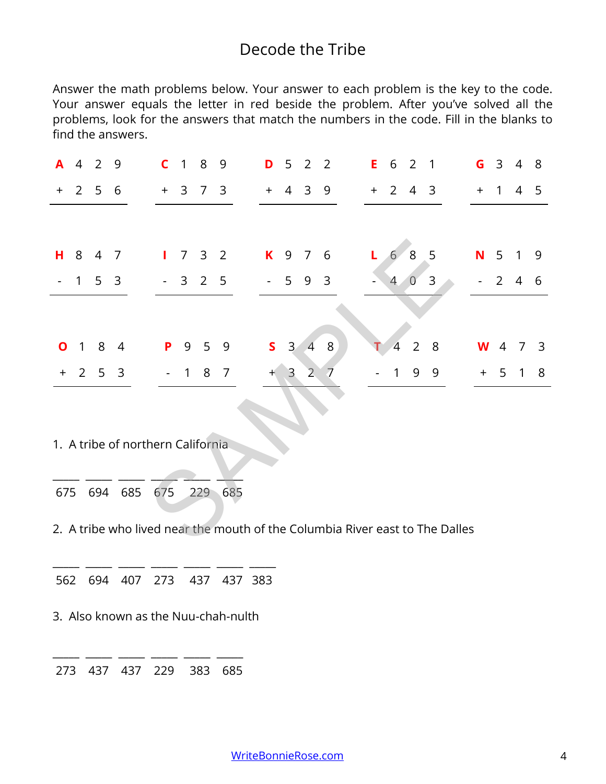## Decode the Tribe

Answer the math problems below. Your answer to each problem is the key to the code. Your answer equals the letter in red beside the problem. After you've solved all the problems, look for the answers that match the numbers in the code. Fill in the blanks to find the answers.

| A     | 4              | 2   | 9              |                                                                              | C            | $\mathbf{1}$   | 8                   | 9              | D                   | 5              | $\overline{2}$ | $\overline{2}$ | E. | 6              | 2              | 1              | G   | 3              | $\overline{4}$ | 8 |
|-------|----------------|-----|----------------|------------------------------------------------------------------------------|--------------|----------------|---------------------|----------------|---------------------|----------------|----------------|----------------|----|----------------|----------------|----------------|-----|----------------|----------------|---|
| $\pm$ | $\overline{2}$ | 5   | 6              |                                                                              | $+$          | 3              | $7\overline{ }$     | $\overline{3}$ | $+$                 | $\overline{4}$ | 3              | 9              |    | $+2$           | $\overline{4}$ | $\overline{3}$ | $+$ | $\overline{1}$ | 4              | 5 |
|       |                |     |                |                                                                              |              |                |                     |                |                     |                |                |                |    |                |                |                |     |                |                |   |
| н     | 8              | 4   | 7              |                                                                              | $\mathbf{L}$ |                | $7 \quad 3 \quad 2$ |                | K                   | 9              | 7 6            |                | L. | 6 <sub>1</sub> | 8              | 5              | N.  | 5              | $\overline{1}$ | 9 |
|       | 1              | 5   | 3              |                                                                              |              |                | $-3$ 2 5            |                | $\omega_{\rm{max}}$ | 5 <sub>1</sub> | 9              | $\overline{3}$ |    | 4              | $\overline{0}$ | 3              |     | $2^{\circ}$    | $\overline{4}$ | 6 |
|       |                |     |                |                                                                              |              |                |                     |                |                     |                |                |                |    |                |                |                |     |                |                |   |
| Ο     | 1              | 8   | $\overline{4}$ |                                                                              | P            | 9              | 5                   | 9              | $\mathsf{S}$        | $\overline{3}$ | $\overline{4}$ | $8\,$          |    | 4              | $\overline{2}$ | 8              | W   | 4              | 7              | 3 |
| $+$   | $2^{\circ}$    |     | 5 <sub>3</sub> |                                                                              |              | $\overline{1}$ |                     | 8 7            | $^{+}$              | $\mathbf{3}$   | 2 <sup>1</sup> | 7              |    | 1              | 9              | 9              | $+$ |                | 5 <sub>1</sub> | 8 |
|       |                |     |                |                                                                              |              |                |                     |                |                     |                |                |                |    |                |                |                |     |                |                |   |
|       |                |     |                | 1. A tribe of northern California                                            |              |                |                     |                |                     |                |                |                |    |                |                |                |     |                |                |   |
| 675   |                | 694 |                | 685                                                                          | 675          |                | 229                 | 685            |                     |                |                |                |    |                |                |                |     |                |                |   |
|       |                |     |                | 2. A tribe who lived near the mouth of the Columbia River east to The Dalles |              |                |                     |                |                     |                |                |                |    |                |                |                |     |                |                |   |

\_\_\_\_\_ \_\_\_\_\_ \_\_\_\_\_ \_\_\_\_\_ \_\_\_\_\_ \_\_\_\_\_ \_\_\_\_\_ 562 694 407 273 437 437 383

3. Also known as the Nuu-chah-nulth

\_\_\_\_\_ \_\_\_\_\_ \_\_\_\_\_ \_\_\_\_\_ \_\_\_\_\_ \_\_\_\_\_ 273 437 437 229 383 685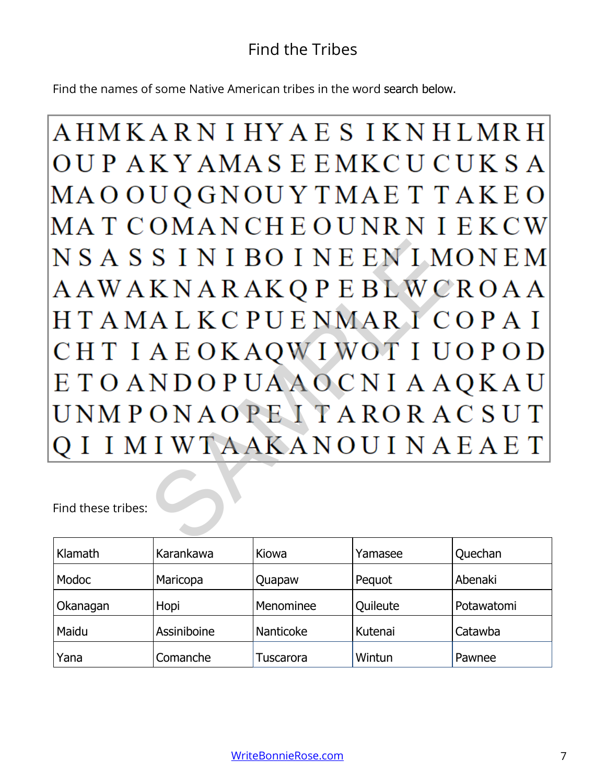## Find the Tribes

Find the names of some Native American tribes in the word search below.

AHMKARNIHYAESIKNHLMRH OUP AKYAMASE EMKCUCUKSA MAO OUQGNOUY TMAE T TAKEO MATCOMANCHEOUNRNIEKCW SINIBOINE EN IM<br>KNARAKQPE BLWC<br>ALKC PUE NMARIC<br>AE OKAQWIWOTIU<br>NDOP UAAOCNIA A<br>ONAOPE I TARORA<br>IWTAAKANOUINA

Find these tribes:

| Klamath  | Karankawa   | Kiowa     | Yamasee  | Quechan    |
|----------|-------------|-----------|----------|------------|
| Modoc    | Maricopa    | Quapaw    | Pequot   | Abenaki    |
| Okanagan | Hopi        | Menominee | Quileute | Potawatomi |
| Maidu    | Assiniboine | Nanticoke | Kutenai  | Catawba    |
| Yana     | Comanche    | Tuscarora | Wintun   | Pawnee     |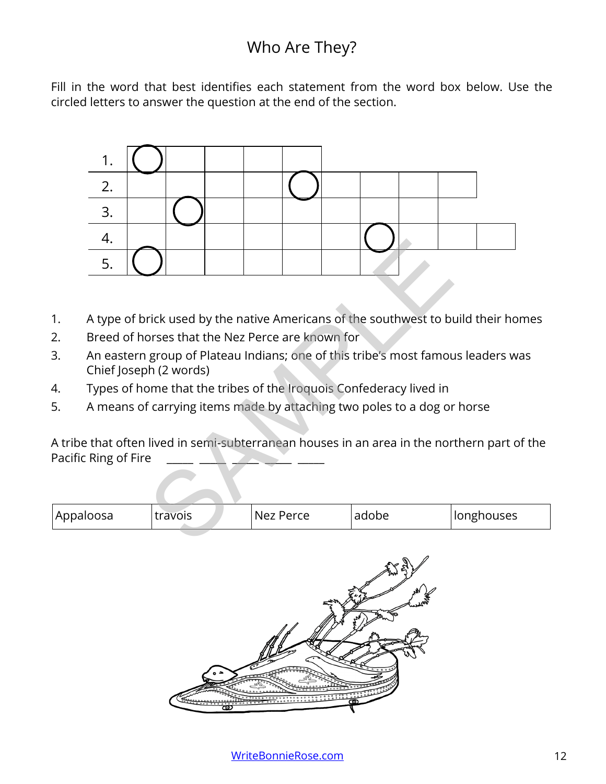## Who Are They?

Fill in the word that best identifies each statement from the word box below. Use the circled letters to answer the question at the end of the section.



- 1. A type of brick used by the native Americans of the southwest to build their homes
- 2. Breed of horses that the Nez Perce are known for
- 3. An eastern group of Plateau Indians; one of this tribe's most famous leaders was Chief Joseph (2 words)
- 4. Types of home that the tribes of the Iroquois Confederacy lived in
- 5. A means of carrying items made by attaching two poles to a dog or horse

A tribe that often lived in semi-subterranean houses in an area in the northern part of the Pacific Ring of Fire

| Appaloosa | travois | Nez Perce | adobe | <b>Ilonghouses</b> |
|-----------|---------|-----------|-------|--------------------|